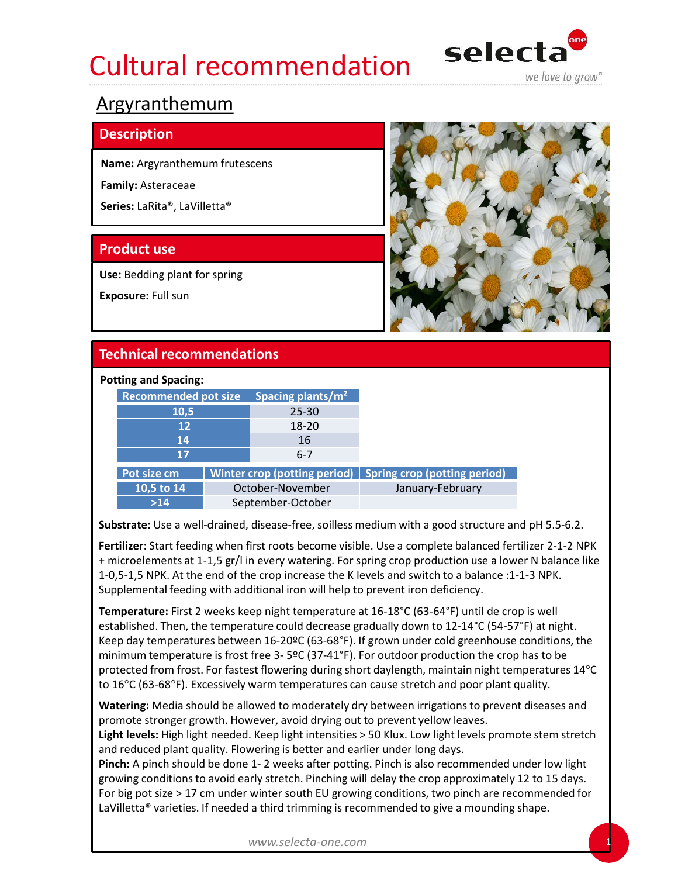## Cultural recommendation selecta



## Argyranthemum

## **Description**

Family: Asteraceae



## Potting and Spacing:

| Series: LaRita®, LaVilletta®     |                                                                                                                                                                                                                                                                                                                                                                                                                                                                                                                                                                                                                                |                  |  |
|----------------------------------|--------------------------------------------------------------------------------------------------------------------------------------------------------------------------------------------------------------------------------------------------------------------------------------------------------------------------------------------------------------------------------------------------------------------------------------------------------------------------------------------------------------------------------------------------------------------------------------------------------------------------------|------------------|--|
| <b>Product use</b>               |                                                                                                                                                                                                                                                                                                                                                                                                                                                                                                                                                                                                                                |                  |  |
| Use: Bedding plant for spring    |                                                                                                                                                                                                                                                                                                                                                                                                                                                                                                                                                                                                                                |                  |  |
| Exposure: Full sun               |                                                                                                                                                                                                                                                                                                                                                                                                                                                                                                                                                                                                                                |                  |  |
| <b>Technical recommendations</b> |                                                                                                                                                                                                                                                                                                                                                                                                                                                                                                                                                                                                                                |                  |  |
| <b>Potting and Spacing:</b>      |                                                                                                                                                                                                                                                                                                                                                                                                                                                                                                                                                                                                                                |                  |  |
|                                  | Recommended pot size   Spacing plants/ $m2$                                                                                                                                                                                                                                                                                                                                                                                                                                                                                                                                                                                    |                  |  |
| 10,5                             | $25 - 30$                                                                                                                                                                                                                                                                                                                                                                                                                                                                                                                                                                                                                      |                  |  |
| 12                               | 18-20                                                                                                                                                                                                                                                                                                                                                                                                                                                                                                                                                                                                                          |                  |  |
| 14<br>17                         | 16<br>$6 - 7$                                                                                                                                                                                                                                                                                                                                                                                                                                                                                                                                                                                                                  |                  |  |
| Pot size cm                      | Winter crop (potting period) $\vert$ Spring crop (potting period)                                                                                                                                                                                                                                                                                                                                                                                                                                                                                                                                                              |                  |  |
| 10,5 to $14$                     | October-November                                                                                                                                                                                                                                                                                                                                                                                                                                                                                                                                                                                                               | January-February |  |
| $>14$                            | September-October                                                                                                                                                                                                                                                                                                                                                                                                                                                                                                                                                                                                              |                  |  |
|                                  | Substrate: Use a well-drained, disease-free, soilless medium with a good structure and pH 5.5-6.2.                                                                                                                                                                                                                                                                                                                                                                                                                                                                                                                             |                  |  |
|                                  | Fertilizer: Start feeding when first roots become visible. Use a complete balanced fertilizer 2-1-2 NPK<br>+ microelements at 1-1,5 gr/l in every watering. For spring crop production use a lower N balance like<br>1-0,5-1,5 NPK. At the end of the crop increase the K levels and switch to a balance :1-1-3 NPK.<br>Supplemental feeding with additional iron will help to prevent iron deficiency.                                                                                                                                                                                                                        |                  |  |
|                                  | Temperature: First 2 weeks keep night temperature at 16-18°C (63-64°F) until de crop is well<br>established. Then, the temperature could decrease gradually down to 12-14°C (54-57°F) at night.<br>Keep day temperatures between 16-20ºC (63-68°F). If grown under cold greenhouse conditions, the<br>minimum temperature is frost free 3- 5ºC (37-41°F). For outdoor production the crop has to be<br>protected from frost. For fastest flowering during short daylength, maintain night temperatures 14°C<br>to $16^{\circ}$ C (63-68 $^{\circ}$ F). Excessively warm temperatures can cause stretch and poor plant quality. |                  |  |
|                                  | Watering: Media should be allowed to moderately dry between irrigations to prevent diseases and<br>promote stronger growth. However, avoid drying out to prevent yellow leaves.<br>Light levels: High light needed. Keep light intensities > 50 Klux. Low light levels promote stem stretch                                                                                                                                                                                                                                                                                                                                    |                  |  |

Temperature: First 2 weeks keep night temperature at 16-18°C (63-64°F) until de crop is well established. Then, the temperature could decrease gradually down to 12-14°C (54-57°F) at night. Keep day temperatures between 16-20ºC (63-68°F). If grown under cold greenhouse conditions, the protected from frost. For fastest flowering during short daylength, maintain night temperatures 14°C to 16°C (63-68°F). Excessively warm temperatures can cause stretch and poor plant quality. 10,5 to 14<br>
Stabler: Noorse-Noorse-<br>
Substrate: Use a well-drained, disease-free, soilless medium with a good structure and pH 5.5-6.2.<br> **Fertilize**r: Start feeding when first roots become visible. Use a complete balanced State Conditions of the avoid early september-October<br>
Substrate: Use a well-drained, disease-free, soilles Use a complete balanced fertilizer: 2-1-2 NPK<br>
+ microelements at 1-1,5 gr/l in every watering. For spring crop p

Light levels: High light needed. Keep light intensities > 50 Klux. Low light levels promote stem stretch and reduced plant quality. Flowering is better and earlier under long days.

For big pot size > 17 cm under winter south EU growing conditions, two pinch are recommended for LaVilletta® varieties. If needed a third trimming is recommended to give a mounding shape.

www.selecta-one.com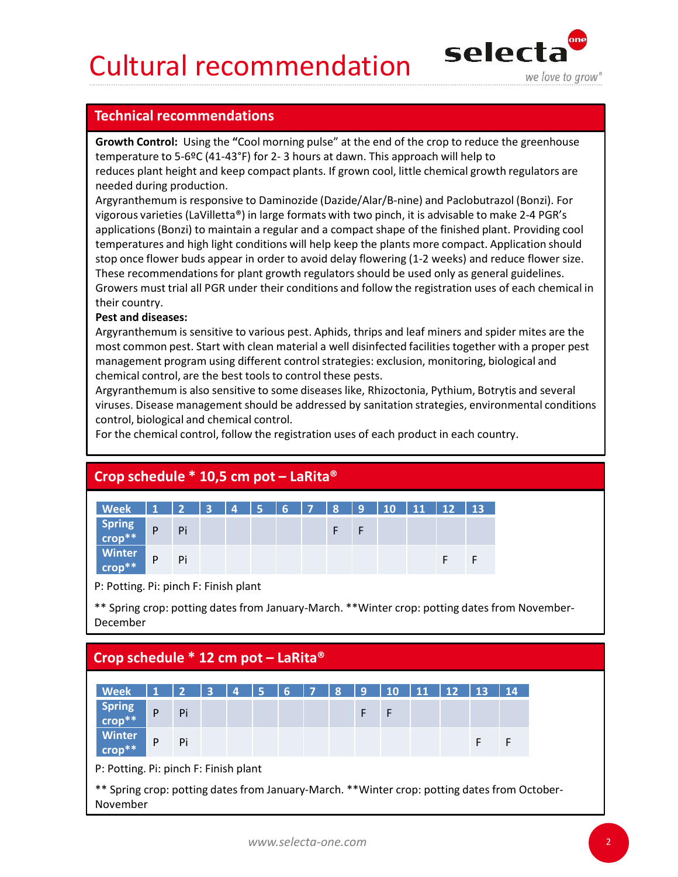## Cultural recommendation selecta



**Cultural recommendations<br>
Technical recommendations**<br> **Commendations**<br> **Commendations**<br> **Commendations**<br> **Commendations**<br> **Commendations**<br> **Commendation**<br> **Commendation**<br> **Commendation**<br> **Commendation**<br> **Commendation**<br> Growth Control: Using the "Cool morning pulse" at the end of the crop to reduce the greenhouse needed during production.

Argyranthemum is responsive to Daminozide (Uazide/Alar)<sup>4</sup>-hine and readoutrazol (since the particular segues of the finished plant. Providing could stop once flower his capital and a compact shape of the finished plant. Cultural recommendations<br> **Selection**<br> **Technical recommendations**<br> **Serowth Control:** Using the "Cool morning pulse" at the end of the crop to reduce the greenhouse<br>
temperature to 5-6ºC (41-43°F) for 2- 3 hours at dawn. **Cultural recommendations**<br>**Technical recommendations**<br>**Expective to grow<sup>\*</sup><br>
<b>Expective and keep compact plants**. If grown cool, little chemical growth regulators are<br>
reduces plant height and keep compact plants. If gro Argyranthemum is responsive to Daminozide (Dazide/Alar/B-nine) and Paclobutrazol (Bonzi). For vigorous varieties (LaVilletta®) in large formats with two pinch, it is advisable to make 2-4 PGR's applications (Bonzi) to maintain a regular and a compact shape of the finished plant. Providing cool temperatures and high light conditions will help keep the plants more compact. Application should stop once flower buds appear in order to avoid delay flowering (1-2 weeks) and reduce flower size. These recommendations for plant growth regulators should be used only as general guidelines. Growers must trial all PGR under their conditions and follow the registration uses of each chemical in their country. **CULTURE TERN ARTER COMMON CONTROL SETTLE THE CONTROL THE CONTROL THE CONTROL THE CONTROL THE CONTROL THE CONTROL THE CONTROL THE CONTROL THE CONTROLL THE CONTROLL THE CONTROLL THE CONTROLL THE CONTROLL THE CONTROLL THE CO IGChnical recommendations**<br> **Growth Contro**!: Using the "Cool morning pulse" at the end of the crop to reduce the greenhouse<br> **Growth Contro!**: Using the "Cool morning pulse" at dawn. This approach will help to<br>
reduces p ppuedators (outland a regueral and a couplact strape of our limitative remperatures and high light conditions will help keep the plants more compact. Applications hould<br>the prepare in order to avoid delay flowering (1-2 we

## Pest and diseases:

| These recommendations for plant growth regulators should be used only as general guidelines.<br>their country.<br><b>Pest and diseases:</b><br>management program using different control strategies: exclusion, monitoring, biological and<br>chemical control, are the best tools to control these pests.<br>Argyranthemum is also sensitive to some diseases like, Rhizoctonia, Pythium, Botrytis and several<br>control, biological and chemical control.<br>For the chemical control, follow the registration uses of each product in each country. |           |     |  |  |             |              |   |   |              |   | stop once flower buds appear in order to avoid delay flowering (1-2 weeks) and reduce flower size.<br>Growers must trial all PGR under their conditions and follow the registration uses of each chemical in<br>Argyranthemum is sensitive to various pest. Aphids, thrips and leaf miners and spider mites are the<br>most common pest. Start with clean material a well disinfected facilities together with a proper pest<br>viruses. Disease management should be addressed by sanitation strategies, environmental conditions |  |
|----------------------------------------------------------------------------------------------------------------------------------------------------------------------------------------------------------------------------------------------------------------------------------------------------------------------------------------------------------------------------------------------------------------------------------------------------------------------------------------------------------------------------------------------------------|-----------|-----|--|--|-------------|--------------|---|---|--------------|---|------------------------------------------------------------------------------------------------------------------------------------------------------------------------------------------------------------------------------------------------------------------------------------------------------------------------------------------------------------------------------------------------------------------------------------------------------------------------------------------------------------------------------------|--|
| Crop schedule $*$ 10,5 cm pot - LaRita®                                                                                                                                                                                                                                                                                                                                                                                                                                                                                                                  |           |     |  |  |             |              |   |   |              |   |                                                                                                                                                                                                                                                                                                                                                                                                                                                                                                                                    |  |
|                                                                                                                                                                                                                                                                                                                                                                                                                                                                                                                                                          |           |     |  |  |             |              |   |   |              |   |                                                                                                                                                                                                                                                                                                                                                                                                                                                                                                                                    |  |
| <b>Week</b>                                                                                                                                                                                                                                                                                                                                                                                                                                                                                                                                              |           |     |  |  |             |              |   |   |              |   |                                                                                                                                                                                                                                                                                                                                                                                                                                                                                                                                    |  |
| <b>Spring</b><br>crop**                                                                                                                                                                                                                                                                                                                                                                                                                                                                                                                                  | ${\sf P}$ | Pi  |  |  | $\mathsf F$ | $\mathsf{F}$ |   |   |              |   |                                                                                                                                                                                                                                                                                                                                                                                                                                                                                                                                    |  |
| <b>Winter</b><br>crop**                                                                                                                                                                                                                                                                                                                                                                                                                                                                                                                                  | ${\sf P}$ | Pi  |  |  |             |              |   | F | $\mathsf{F}$ |   |                                                                                                                                                                                                                                                                                                                                                                                                                                                                                                                                    |  |
| P: Potting. Pi: pinch F: Finish plant                                                                                                                                                                                                                                                                                                                                                                                                                                                                                                                    |           |     |  |  |             |              |   |   |              |   |                                                                                                                                                                                                                                                                                                                                                                                                                                                                                                                                    |  |
| ** Spring crop: potting dates from January-March. ** Winter crop: potting dates from November-<br>December                                                                                                                                                                                                                                                                                                                                                                                                                                               |           |     |  |  |             |              |   |   |              |   |                                                                                                                                                                                                                                                                                                                                                                                                                                                                                                                                    |  |
| Crop schedule $*$ 12 cm pot – LaRita®                                                                                                                                                                                                                                                                                                                                                                                                                                                                                                                    |           |     |  |  |             |              |   |   |              |   |                                                                                                                                                                                                                                                                                                                                                                                                                                                                                                                                    |  |
| <b>Week</b>                                                                                                                                                                                                                                                                                                                                                                                                                                                                                                                                              |           |     |  |  |             |              |   |   |              |   |                                                                                                                                                                                                                                                                                                                                                                                                                                                                                                                                    |  |
| <b>Spring</b>                                                                                                                                                                                                                                                                                                                                                                                                                                                                                                                                            |           |     |  |  |             |              |   |   |              |   |                                                                                                                                                                                                                                                                                                                                                                                                                                                                                                                                    |  |
| crop**                                                                                                                                                                                                                                                                                                                                                                                                                                                                                                                                                   | P         | Pi  |  |  |             | F            | F |   |              |   |                                                                                                                                                                                                                                                                                                                                                                                                                                                                                                                                    |  |
| <b>Winter</b>                                                                                                                                                                                                                                                                                                                                                                                                                                                                                                                                            | D         | Di. |  |  |             |              |   |   | Е            | Е |                                                                                                                                                                                                                                                                                                                                                                                                                                                                                                                                    |  |

| control, biological and chemical control.<br>For the chemical control, follow the registration uses of each product in each country. |                           |    |  |  |  |  |  |   |   |   |   |   |              |  |  |  |
|--------------------------------------------------------------------------------------------------------------------------------------|---------------------------|----|--|--|--|--|--|---|---|---|---|---|--------------|--|--|--|
| Crop schedule $*$ 10,5 cm pot - LaRita®                                                                                              |                           |    |  |  |  |  |  |   |   |   |   |   |              |  |  |  |
| Week                                                                                                                                 |                           |    |  |  |  |  |  |   |   |   |   |   |              |  |  |  |
| <b>Spring</b><br>$ {\sf crop}^{**} $                                                                                                 | $\boldsymbol{\mathsf{P}}$ | Pi |  |  |  |  |  | F | F |   |   |   |              |  |  |  |
| <b>Winter</b><br>$\mathsf{crop}^{**}$                                                                                                | $\boldsymbol{\mathsf{P}}$ | Pi |  |  |  |  |  |   |   |   | F | F |              |  |  |  |
| P: Potting. Pi: pinch F: Finish plant                                                                                                |                           |    |  |  |  |  |  |   |   |   |   |   |              |  |  |  |
| ** Spring crop: potting dates from January-March. ** Winter crop: potting dates from November-<br>December                           |                           |    |  |  |  |  |  |   |   |   |   |   |              |  |  |  |
| Crop schedule $*$ 12 cm pot – LaRita®                                                                                                |                           |    |  |  |  |  |  |   |   |   |   |   |              |  |  |  |
|                                                                                                                                      |                           |    |  |  |  |  |  |   |   |   |   |   |              |  |  |  |
| <b>Week</b><br><b>Spring</b>                                                                                                         |                           |    |  |  |  |  |  |   |   |   |   |   | $14$         |  |  |  |
| $ {\sf crop}^{**} $                                                                                                                  | $\boldsymbol{\mathsf{P}}$ | Pi |  |  |  |  |  |   | F | F |   |   |              |  |  |  |
| <b>Winter</b><br>$\mathsf{crop}^{**}$                                                                                                | P                         | Pi |  |  |  |  |  |   |   |   |   | F | $\mathsf{F}$ |  |  |  |
| P: Potting. Pi: pinch F: Finish plant                                                                                                |                           |    |  |  |  |  |  |   |   |   |   |   |              |  |  |  |
| ** Spring crop: potting dates from January-March. ** Winter crop: potting dates from October-<br>November                            |                           |    |  |  |  |  |  |   |   |   |   |   |              |  |  |  |
|                                                                                                                                      |                           |    |  |  |  |  |  |   |   |   |   |   |              |  |  |  |